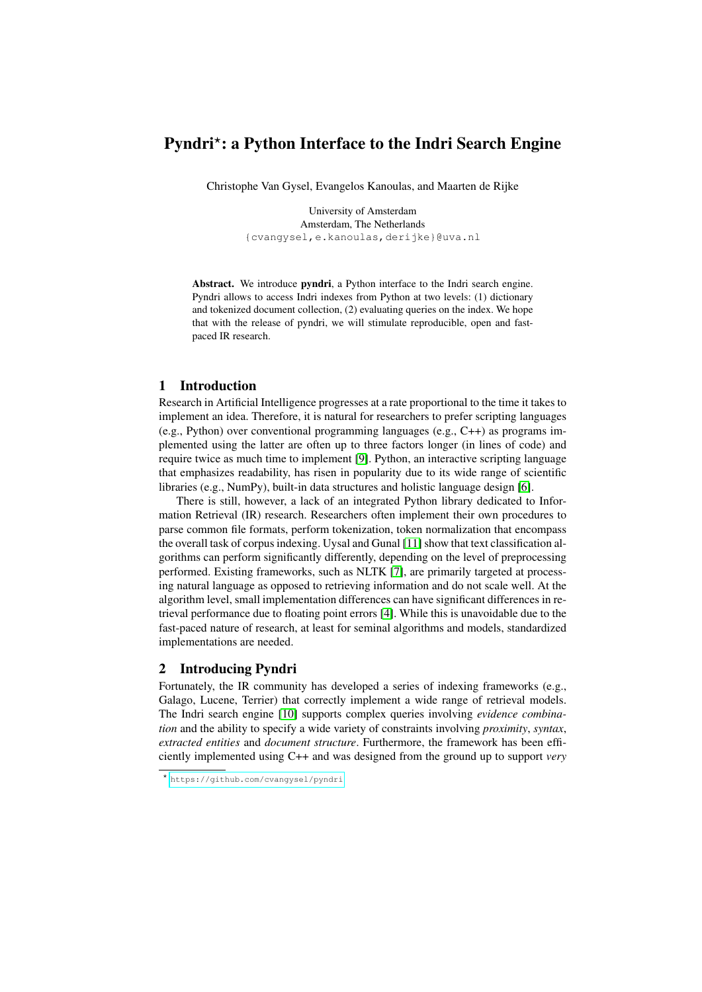# <span id="page-0-0"></span>Pyndri\*: a Python Interface to the Indri Search Engine

Christophe Van Gysel, Evangelos Kanoulas, and Maarten de Rijke

University of Amsterdam Amsterdam, The Netherlands {cvangysel,e.kanoulas,derijke}@uva.nl

Abstract. We introduce pyndri, a Python interface to the Indri search engine. Pyndri allows to access Indri indexes from Python at two levels: (1) dictionary and tokenized document collection, (2) evaluating queries on the index. We hope that with the release of pyndri, we will stimulate reproducible, open and fastpaced IR research.

### 1 Introduction

Research in Artificial Intelligence progresses at a rate proportional to the time it takes to implement an idea. Therefore, it is natural for researchers to prefer scripting languages (e.g., Python) over conventional programming languages (e.g., C++) as programs implemented using the latter are often up to three factors longer (in lines of code) and require twice as much time to implement [\[9\]](#page-3-0). Python, an interactive scripting language that emphasizes readability, has risen in popularity due to its wide range of scientific libraries (e.g., NumPy), built-in data structures and holistic language design [\[6\]](#page-3-1).

There is still, however, a lack of an integrated Python library dedicated to Information Retrieval (IR) research. Researchers often implement their own procedures to parse common file formats, perform tokenization, token normalization that encompass the overall task of corpus indexing. Uysal and Gunal [\[11\]](#page-3-2) show that text classification algorithms can perform significantly differently, depending on the level of preprocessing performed. Existing frameworks, such as NLTK [\[7\]](#page-3-3), are primarily targeted at processing natural language as opposed to retrieving information and do not scale well. At the algorithm level, small implementation differences can have significant differences in retrieval performance due to floating point errors [\[4\]](#page-3-4). While this is unavoidable due to the fast-paced nature of research, at least for seminal algorithms and models, standardized implementations are needed.

## 2 Introducing Pyndri

Fortunately, the IR community has developed a series of indexing frameworks (e.g., Galago, Lucene, Terrier) that correctly implement a wide range of retrieval models. The Indri search engine [\[10\]](#page-3-5) supports complex queries involving *evidence combination* and the ability to specify a wide variety of constraints involving *proximity*, *syntax*, *extracted entities* and *document structure*. Furthermore, the framework has been efficiently implemented using C++ and was designed from the ground up to support *very*

<sup>?</sup> <https://github.com/cvangysel/pyndri>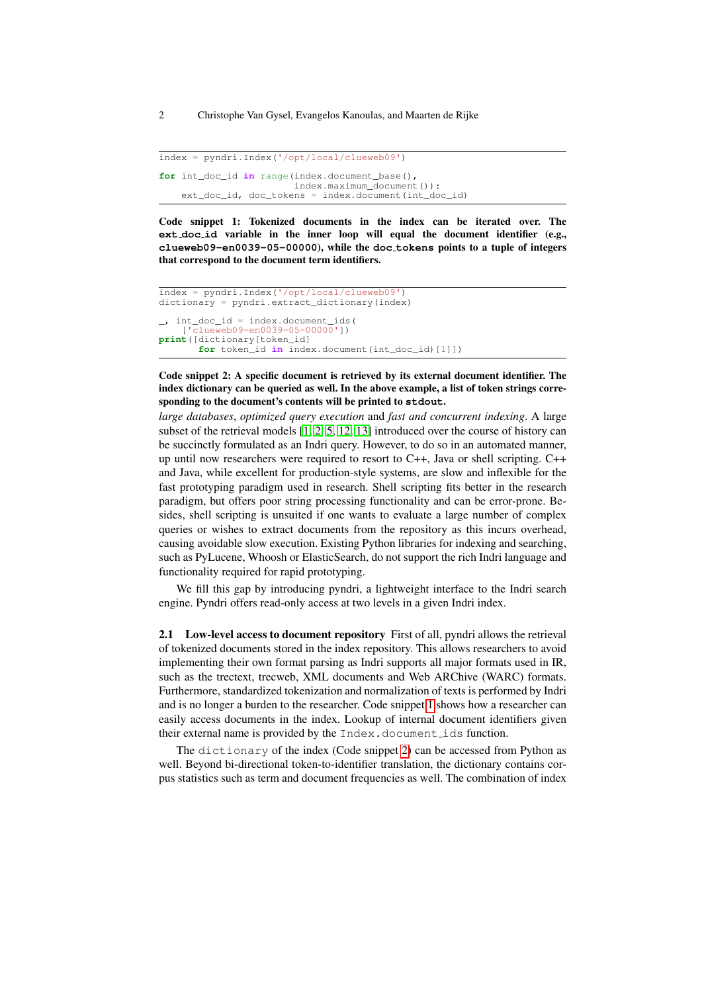```
index = pyndri.Index('/opt/local/clueweb09')
for int_doc_id in range(index.document_base(),
    index.maximum_document()):
ext_doc_id, doc_tokens = index.document(int_doc_id)
```
Code snippet 1: Tokenized documents in the index can be iterated over. The **ext doc id** variable in the inner loop will equal the document identifier (e.g., **clueweb09-en0039-05-00000**), while the **doc tokens** points to a tuple of integers that correspond to the document term identifiers.

```
index = pyndri.Index('/opt/local/clueweb09')
dictionary = pyndri.extract_dictionary(index)
   int doc id = index.document ids(
         \overline{c}lueweb09-en0039-05-00000
print([dictionary[token_id]
         for token_id in index.document(int_doc_id)[1]])
```
Code snippet 2: A specific document is retrieved by its external document identifier. The index dictionary can be queried as well. In the above example, a list of token strings corresponding to the document's contents will be printed to **stdout**.

*large databases*, *optimized query execution* and *fast and concurrent indexing*. A large subset of the retrieval models [\[1,](#page-3-6) [2,](#page-3-7) [5,](#page-3-8) [12,](#page-3-9) [13\]](#page-3-10) introduced over the course of history can be succinctly formulated as an Indri query. However, to do so in an automated manner, up until now researchers were required to resort to C++, Java or shell scripting. C++ and Java, while excellent for production-style systems, are slow and inflexible for the fast prototyping paradigm used in research. Shell scripting fits better in the research paradigm, but offers poor string processing functionality and can be error-prone. Besides, shell scripting is unsuited if one wants to evaluate a large number of complex queries or wishes to extract documents from the repository as this incurs overhead, causing avoidable slow execution. Existing Python libraries for indexing and searching, such as PyLucene, Whoosh or ElasticSearch, do not support the rich Indri language and functionality required for rapid prototyping.

We fill this gap by introducing pyndri, a lightweight interface to the Indri search engine. Pyndri offers read-only access at two levels in a given Indri index.

2.1 Low-level access to document repository First of all, pyndri allows the retrieval of tokenized documents stored in the index repository. This allows researchers to avoid implementing their own format parsing as Indri supports all major formats used in IR, such as the trectext, trecweb, XML documents and Web ARChive (WARC) formats. Furthermore, standardized tokenization and normalization of texts is performed by Indri and is no longer a burden to the researcher. Code snippet [1](#page-1-0) shows how a researcher can easily access documents in the index. Lookup of internal document identifiers given their external name is provided by the Index.document ids function.

The dictionary of the index (Code snippet [2\)](#page-1-1) can be accessed from Python as well. Beyond bi-directional token-to-identifier translation, the dictionary contains corpus statistics such as term and document frequencies as well. The combination of index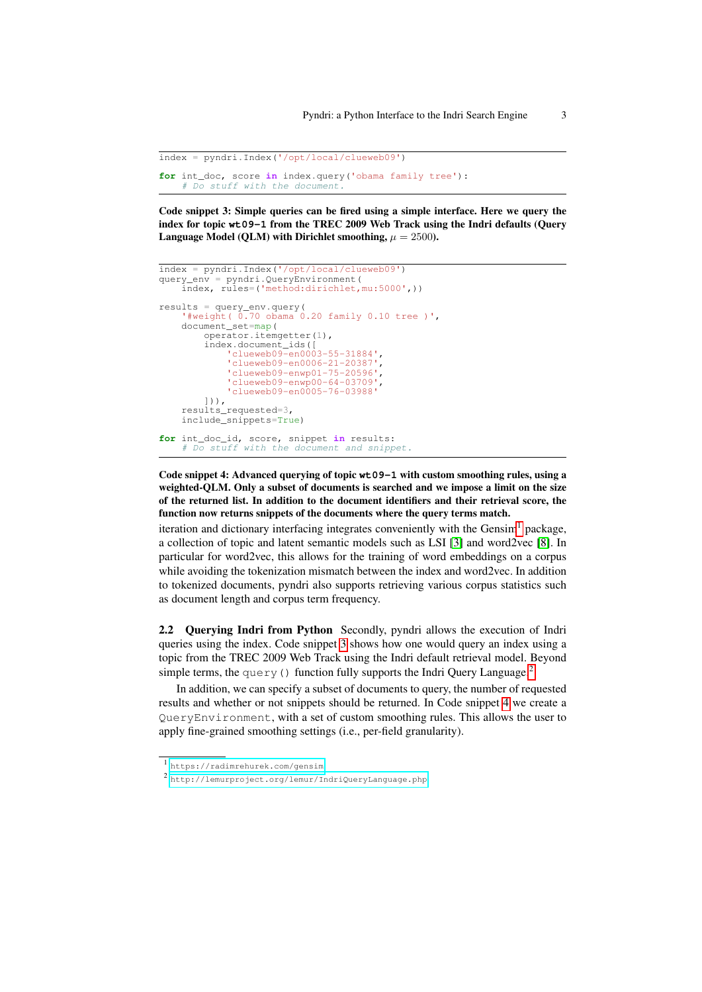```
index = pyndri.Index('/opt/local/clueweb09')
for int doc, score in index.query('obama family tree'):
    # Do stuff with the document.
```
Code snippet 3: Simple queries can be fired using a simple interface. Here we query the index for topic **wt09-1** from the TREC 2009 Web Track using the Indri defaults (Query Language Model (QLM) with Dirichlet smoothing,  $\mu = 2500$ ).

```
index = pyndri.Index('/opt/local/clueweb09')
query_env = pyndri.QueryEnvironment(
index, rules=('method:dirichlet,mu:5000',))
results = query_env.query(
     '#weight( 0.70 obama 0.20 family 0.10 tree )',
document_set=map(
          operator.itemgetter(1),
          index.document_ids([
'clueweb09-en0003-55-31884',
               'clueweb09-en0006-21-20387',
               'clueweb09-enwp01-75-20596',
               'clueweb09-enwp00-64-03709',
               'clueweb09-en0005-76-03988'
         ])),
     results_requested=3,
     include_snippets=True)
for int_doc_id, score, snippet in results:
# Do stuff with the document and snippet.
```
Code snippet 4: Advanced querying of topic **wt09-1** with custom smoothing rules, using a weighted-QLM. Only a subset of documents is searched and we impose a limit on the size of the returned list. In addition to the document identifiers and their retrieval score, the function now returns snippets of the documents where the query terms match.

iteration and dictionary interfacing integrates conveniently with the Gensim<sup>[1](#page-0-0)</sup> package, a collection of topic and latent semantic models such as LSI [\[3\]](#page-3-11) and word2vec [\[8\]](#page-3-12). In particular for word2vec, this allows for the training of word embeddings on a corpus while avoiding the tokenization mismatch between the index and word2vec. In addition to tokenized documents, pyndri also supports retrieving various corpus statistics such as document length and corpus term frequency.

2.2 Querying Indri from Python Secondly, pyndri allows the execution of Indri queries using the index. Code snippet [3](#page-2-0) shows how one would query an index using a topic from the TREC 2009 Web Track using the Indri default retrieval model. Beyond simple terms, the query () function fully supports the Indri Query Language.<sup>[2](#page-0-0)</sup>

In addition, we can specify a subset of documents to query, the number of requested results and whether or not snippets should be returned. In Code snippet [4](#page-2-1) we create a QueryEnvironment, with a set of custom smoothing rules. This allows the user to apply fine-grained smoothing settings (i.e., per-field granularity).

<sup>1</sup> <https://radimrehurek.com/gensim>

<sup>2</sup> <http://lemurproject.org/lemur/IndriQueryLanguage.php>